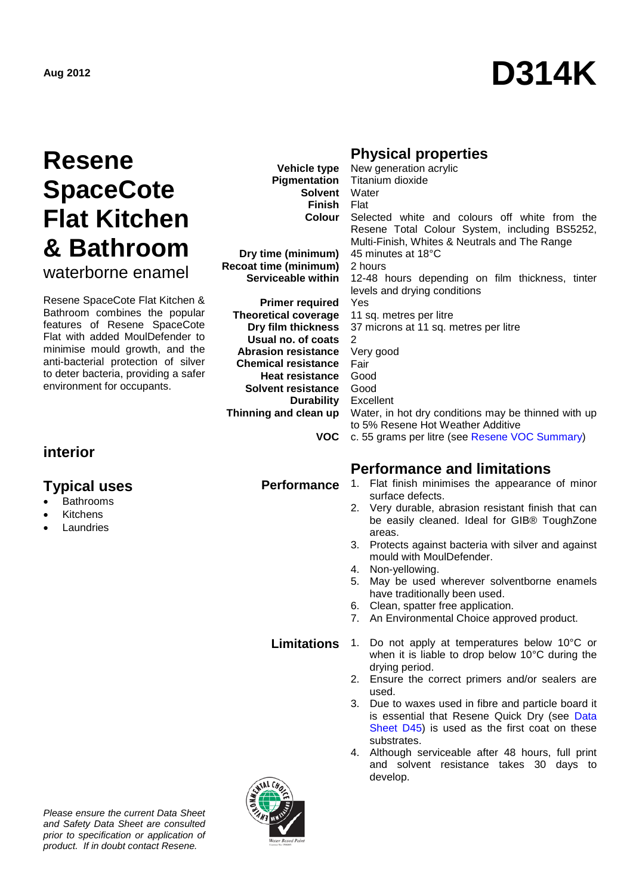# **Aug <sup>2012</sup> D314K**

# **Resene SpaceCote Flat Kitchen & Bathroom** waterborne enamel

Resene SpaceCote Flat Kitchen & Bathroom combines the popular features of Resene SpaceCote Flat with added MoulDefender to minimise mould growth, and the anti-bacterial protection of silver to deter bacteria, providing a safer environment for occupants.

# **interior**

### **Typical uses**

- **Bathrooms**
- **Kitchens**
- **Laundries**

# **Physical properties**

| New generation acrylic                                      |
|-------------------------------------------------------------|
| <b>Pigmentation</b> Titanium dioxide                        |
| <b>Solvent</b> Water                                        |
| <b>Finish Flat</b>                                          |
| <b>Colour</b> Selected white and colours off white from the |
| Resene Total Colour System, including BS5252,               |
| Multi-Finish, Whites & Neutrals and The Range               |
| 45 minutes at 18°C                                          |
| 2 hours                                                     |
| 12-48 hours depending on film thickness, tinter             |
| levels and drying conditions                                |
|                                                             |
| <b>Yes</b>                                                  |
| 11 sq. metres per litre                                     |
| 37 microns at 11 sq. metres per litre                       |
| 2                                                           |
| Very good                                                   |
| Fair                                                        |
| Good                                                        |
| Good                                                        |
| <b>Durability</b> Excellent                                 |
| Water, in hot dry conditions may be thinned with up         |
| to 5% Resene Hot Weather Additive                           |
| c. 55 grams per litre (see Resene VOC Summary)              |
|                                                             |

# **Performance and limitations**

- **Performance** 1. Flat finish minimises the appearance of minor surface defects.
	- 2. Very durable, abrasion resistant finish that can be easily cleaned. Ideal for GIB® ToughZone areas.
	- 3. Protects against bacteria with silver and against mould with MoulDefender.
	- 4. Non-yellowing.
	- 5. May be used wherever solventborne enamels have traditionally been used.
	- 6. Clean, spatter free application.
	- 7. An Environmental Choice approved product.

- **Limitations** 1. Do not apply at temperatures below 10°C or when it is liable to drop below 10°C during the drying period.
	- 2. Ensure the correct primers and/or sealers are used.
	- 3. Due to waxes used in fibre and particle board it is essential that Resene Quick Dry (see [Data](http://www.resene.co.nz/archspec/datashts/d45_QuickDryPrimerUndercoat.pdf)  [Sheet D45\)](http://www.resene.co.nz/archspec/datashts/d45_QuickDryPrimerUndercoat.pdf) is used as the first coat on these substrates.
	- 4. Although serviceable after 48 hours, full print and solvent resistance takes 30 days to develop.